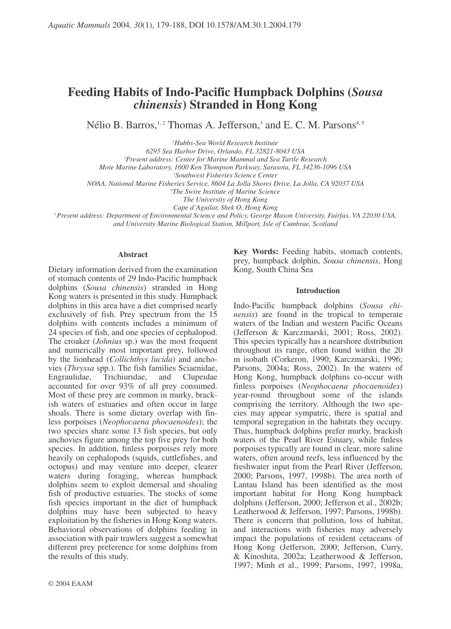# **Feeding Habits of Indo-Pacific Humpback Dolphins (Sousa** *chinensis*) Stranded in Hong Kong

Nélio B. Barros,<sup>1,2</sup> Thomas A. Jefferson,<sup>3</sup> and E. C. M. Parsons<sup>4,5</sup>

<sup>1</sup>Hubbs-Sea World Research Institute

6295 Sea Harbor Drive, Orlando, FL 32821-8043 USA

<sup>2</sup>Present address: Center for Marine Mammal and Sea Turtle Research

Mote Marine Laboratory, 1600 Ken Thompson Parkway, Sarasota, FL 34236-1096 USA

<sup>3</sup>Southwest Fisheries Science Center

NOAA, National Marine Fisheries Service, 8604 La Jolla Shores Drive, La Jolla, CA 92037 USA

<sup>4</sup>The Swire Institute of Marine Science

The University of Hong Kong

Cape d'Aguilar, Shek O, Hong Kong

<sup>5</sup> Present address: Department of Environmental Science and Policy, George Mason University, Fairfax, VA 22030 USA, and University Marine Biological Station, Millport, Isle of Cumbrae, Scotland

## **Abstract**

Dietary information derived from the examination of stomach contents of 29 Indo-Pacific humpback dolphins (Sousa chinensis) stranded in Hong Kong waters is presented in this study. Humpback dolphins in this area have a diet comprised nearly exclusively of fish. Prey spectrum from the 15 dolphins with contents includes a minimum of 24 species of fish, and one species of cephalopod. The croaker (*Johnius* sp.) was the most frequent and numerically most important prey, followed by the lionhead (Collichthys lucida) and anchovies (*Thryssa* spp.). The fish families Sciaenidae, Engraulidae. Trichiuridae, and Clupeidae accounted for over 93% of all prey consumed. Most of these prey are common in murky, brackish waters of estuaries and often occur in large shoals. There is some dietary overlap with finless porpoises (Neophocaena phocaenoides); the two species share some 13 fish species, but only anchovies figure among the top five prey for both species. In addition, finless porpoises rely more heavily on cephalopods (squids, cuttlefishes, and octopus) and may venture into deeper, clearer waters during foraging, whereas humpback dolphins seem to exploit demersal and shoaling fish of productive estuaries. The stocks of some fish species important in the diet of humpback dolphins may have been subjected to heavy exploitation by the fisheries in Hong Kong waters. Behavioral observations of dolphins feeding in association with pair trawlers suggest a somewhat different prey preference for some dolphins from the results of this study.

Key Words: Feeding habits, stomach contents, prey, humpback dolphin, Sousa chinensis, Hong Kong, South China Sea

# **Introduction**

Indo-Pacific humpback dolphins (Sousa chi*nensis*) are found in the tropical to temperate waters of the Indian and western Pacific Oceans (Jefferson & Karczmarski, 2001; Ross, 2002). This species typically has a nearshore distribution throughout its range, often found within the 20 m isobath (Corkeron, 1990; Karczmarski, 1996; Parsons, 2004a; Ross, 2002). In the waters of Hong Kong, humpback dolphins co-occur with finless porpoises (Neophocaena phocaenoides) year-round throughout some of the islands comprising the territory. Although the two species may appear sympatric, there is spatial and temporal segregation in the habitats they occupy. Thus, humpback dolphins prefer murky, brackish waters of the Pearl River Estuary, while finless porpoises typically are found in clear, more saline waters, often around reefs, less influenced by the freshwater input from the Pearl River (Jefferson, 2000; Parsons, 1997, 1998b). The area north of Lantau Island has been identified as the most important habitat for Hong Kong humpback dolphins (Jefferson, 2000; Jefferson et al., 2002b; Leatherwood & Jefferson, 1997; Parsons, 1998b). There is concern that pollution, loss of habitat, and interactions with fisheries may adversely impact the populations of resident cetaceans of Hong Kong (Jefferson, 2000; Jefferson, Curry, & Kinoshita, 2002a; Leatherwood & Jefferson, 1997; Minh et al., 1999; Parsons, 1997, 1998a,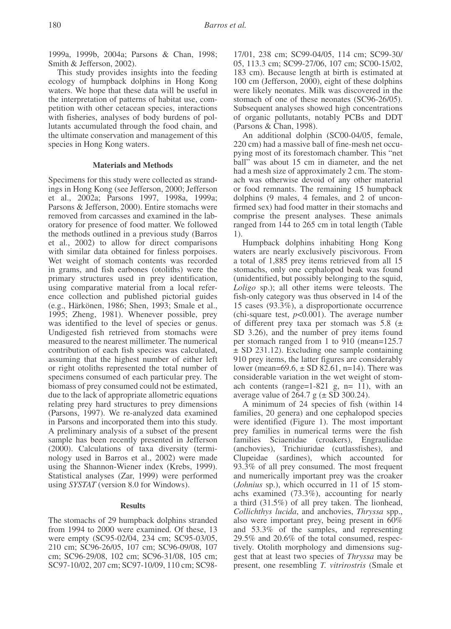1999a, 1999b, 2004a; Parsons & Chan, 1998; Smith & Jefferson, 2002).

This study provides insights into the feeding ecology of humpback dolphins in Hong Kong waters. We hope that these data will be useful in the interpretation of patterns of habitat use, competition with other cetacean species, interactions with fisheries, analyses of body burdens of pollutants accumulated through the food chain, and the ultimate conservation and management of this species in Hong Kong waters.

## **Materials and Methods**

Specimens for this study were collected as strandings in Hong Kong (see Jefferson, 2000; Jefferson et al., 2002a; Parsons 1997, 1998a, 1999a; Parsons & Jefferson, 2000). Entire stomachs were removed from carcasses and examined in the laboratory for presence of food matter. We followed the methods outlined in a previous study (Barros et al., 2002) to allow for direct comparisons with similar data obtained for finless porpoises. Wet weight of stomach contents was recorded in grams, and fish earbones (otoliths) were the primary structures used in prey identification, using comparative material from a local reference collection and published pictorial guides (e.g., Härkönen, 1986; Shen, 1993; Smale et al., 1995; Zheng, 1981). Whenever possible, prey was identified to the level of species or genus. Undigested fish retrieved from stomachs were measured to the nearest millimeter. The numerical contribution of each fish species was calculated, assuming that the highest number of either left or right otoliths represented the total number of specimens consumed of each particular prey. The biomass of prey consumed could not be estimated, due to the lack of appropriate allometric equations relating prey hard structures to prey dimensions (Parsons, 1997). We re-analyzed data examined in Parsons and incorporated them into this study. A preliminary analysis of a subset of the present sample has been recently presented in Jefferson (2000). Calculations of taxa diversity (terminology used in Barros et al., 2002) were made using the Shannon-Wiener index (Krebs, 1999). Statistical analyses (Zar, 1999) were performed using SYSTATI (version 8.0 for Windows).

## **Results**

The stomachs of 29 humpback dolphins stranded from 1994 to 2000 were examined. Of these, 13 were empty (SC95-02/04, 234 cm; SC95-03/05, 210 cm; SC96-26/05, 107 cm; SC96-09/08, 107 cm; SC96-29/08, 102 cm; SC96-31/08, 105 cm; SC97-10/02, 207 cm; SC97-10/09, 110 cm; SC98-

17/01, 238 cm; SC99-04/05, 114 cm; SC99-30/ 05, 113.3 cm; SC99-27/06, 107 cm; SC00-15/02. 183 cm). Because length at birth is estimated at 100 cm (Jefferson, 2000), eight of these dolphins were likely neonates. Milk was discovered in the stomach of one of these neonates (SC96-26/05). Subsequent analyses showed high concentrations of organic pollutants, notably PCBs and DDT (Parsons & Chan, 1998).

An additional dolphin (SC00-04/05, female, 220 cm) had a massive ball of fine-mesh net occupying most of its forestomach chamber. This "net ball" was about 15 cm in diameter, and the net had a mesh size of approximately 2 cm. The stomach was otherwise devoid of any other material or food remnants. The remaining 15 humpback dolphins (9 males, 4 females, and 2 of unconfirmed sex) had food matter in their stomachs and comprise the present analyses. These animals ranged from 144 to 265 cm in total length (Table

Humpback dolphins inhabiting Hong Kong waters are nearly exclusively piscivorous. From a total of 1,885 prey items retrieved from all 15 stomachs, only one cephalopod beak was found (unidentified, but possibly belonging to the squid, Loligo sp.); all other items were teleosts. The fish-only category was thus observed in 14 of the 15 cases (93.3%), a disproportionate occurrence (chi-square test,  $p<0.001$ ). The average number of different prey taxa per stomach was  $5.8$  ( $\pm$ SD 3.26), and the number of prey items found per stomach ranged from 1 to 910 (mean=125.7)  $\pm$  SD 231.12). Excluding one sample containing 910 prey items, the latter figures are considerably lower (mean= $69.6$ ,  $\pm$  SD 82.61, n=14). There was considerable variation in the wet weight of stomach contents (range= $1-821$  g, n=  $11$ ), with an average value of  $264.7$  g ( $\pm$  SD 300.24).

A minimum of 24 species of fish (within 14 families, 20 genera) and one cephalopod species were identified (Figure 1). The most important prey families in numerical terms were the fish Sciaenidae (croakers), Engraulidae **families** (anchovies), Trichiuridae (cutlassfishes), and Clupeidae (sardines), which accounted for 93.3% of all prey consumed. The most frequent and numerically important prey was the croaker (Johnius sp.), which occurred in 11 of 15 stomachs examined  $(73.3\%)$ , accounting for nearly a third (31.5%) of all prey taken. The lionhead, Collichthys lucida, and anchovies, Thryssa spp., also were important prey, being present in  $60\%$ and 53.3% of the samples, and representing 29.5% and 20.6% of the total consumed, respectively. Otolith morphology and dimensions suggest that at least two species of *Thryssa* may be present, one resembling *T. vitrirostris* (Smale et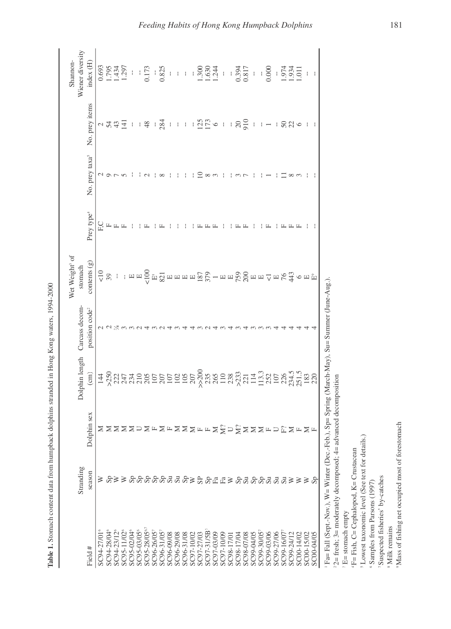| $\sim$<br>3<br>Ì<br>Š<br>l                                                                                        |
|-------------------------------------------------------------------------------------------------------------------|
| l<br>i<br>ł<br>ì<br>¢<br>ļ<br>֖֖ׅׅׅ֧֧֪֪ׅ֖֧֪ׅ֖֧֧֧֚֚֚֚֚֚֚֚֚֚֚֚֚֚֚֚֚֚֚֚֚֚֚֚֚֚֚֚֡֡֡֡֡֡֡֡֓֡֡֡֬֝֓֞֬֓֞֬֓֞֝֬֝֓֞֬֞֝֬֝֬֝֬֝֬ |
| ١<br>į<br>֖֖֖֧֖֧֪֪ׅ֚֚֚֚֚֚֚֚֚֚֚֚֚֚֚֚֚֚֚֚֚֚֚֚֚֚֚֚֚֚֚֚֚֚֬֡֝֝֓֞<br>١<br>l<br>l<br>l                                   |
| ļ<br>$\ddot{\phantom{a}}$<br>֢֖֖֖֖֧֧֚֚֚֚֚֚֚֚֚֚֚֚֚֚֚֚֚֚֚֚֚֚֚֚֚֚֚֚֚֚֚֚֬֕֓֝֓֞֝֓֞<br>l<br>I<br>l<br>l                 |
|                                                                                                                   |
| <b>CANCARD</b><br>$\ddot{\phantom{a}}$                                                                            |
| ¢<br>$\ddot{\phantom{a}}$<br>í<br>ł<br>١<br>١                                                                     |
| í<br>j<br>ï<br>١<br><b>CANADA AND IN</b><br>í                                                                     |
| <br>l                                                                                                             |
|                                                                                                                   |
| l<br>ļ<br>l                                                                                                       |
| ?<br>c<br>I<br>l<br>ı<br>ι                                                                                        |
| l                                                                                                                 |
| ï<br>i<br>Ξ<br>ŗ<br>I<br>l                                                                                        |

|                                        |                                        |                              |                                                     |                            | Wet Weight <sup>3</sup> of                                                 |                        |                            |                                                          | Shannon-                                                                          |
|----------------------------------------|----------------------------------------|------------------------------|-----------------------------------------------------|----------------------------|----------------------------------------------------------------------------|------------------------|----------------------------|----------------------------------------------------------|-----------------------------------------------------------------------------------|
|                                        | Stranding                              |                              | Dolphin length                                      | Carcass decom-             | stomach                                                                    |                        |                            |                                                          | Wiener diversity                                                                  |
| Field #                                | season                                 | Dolphin sex                  | $\binom{cm}{ }$                                     | position code <sup>2</sup> | contents $(g)$                                                             | Prey type <sup>4</sup> | No. prey taxa <sup>5</sup> | No. prey items                                           | index (H)                                                                         |
| SC94-27/01                             | ⋧                                      |                              |                                                     |                            |                                                                            | С н                    |                            |                                                          | $\begin{array}{r} 0.693 \\ 1.795 \\ 1.434 \\ 1.297 \\ 0.173 \\ 0.825 \end{array}$ |
| SC94-28/04°                            |                                        |                              |                                                     |                            |                                                                            |                        |                            |                                                          |                                                                                   |
| SC94-23/12 <sup>6</sup>                | ⋧                                      |                              |                                                     |                            |                                                                            |                        |                            |                                                          |                                                                                   |
| SC95-11/02 <sup>6</sup>                |                                        |                              |                                                     |                            |                                                                            |                        |                            |                                                          |                                                                                   |
| SC95-02/04°                            |                                        | ZZZZZDZ                      |                                                     |                            |                                                                            |                        |                            | $\begin{array}{c} \sim 2.32 \times 10^{-11} \end{array}$ |                                                                                   |
| SC95-03/05                             |                                        |                              |                                                     |                            |                                                                            |                        |                            |                                                          |                                                                                   |
| SC95-28/05 <sup>6</sup>                |                                        |                              |                                                     |                            |                                                                            |                        |                            | $\frac{1}{4}$                                            |                                                                                   |
| SC96-26/05                             |                                        |                              |                                                     |                            |                                                                            |                        |                            | $\mathop{!}\nolimits$                                    |                                                                                   |
| SC96-31/05                             |                                        |                              |                                                     |                            |                                                                            |                        |                            | 284                                                      |                                                                                   |
| SC96-09/08                             |                                        |                              |                                                     |                            |                                                                            |                        |                            | $\frac{1}{2}$                                            |                                                                                   |
| SC96-29/08                             | ઝ                                      |                              |                                                     |                            |                                                                            |                        |                            |                                                          |                                                                                   |
| SC96-31/08                             | $\mathbb{S}_{\mathbb{R}}^{\mathbb{P}}$ |                              |                                                     |                            |                                                                            |                        |                            | $\left\{ \begin{array}{c} 1 \\ 1 \end{array} \right\}$   |                                                                                   |
| SC97-10/02                             |                                        |                              |                                                     |                            |                                                                            |                        |                            |                                                          |                                                                                   |
| SC97-27/03                             | $S_{\rm P}$                            |                              |                                                     |                            |                                                                            |                        |                            |                                                          |                                                                                   |
| SC97-31/5B                             |                                        |                              |                                                     |                            |                                                                            |                        |                            |                                                          |                                                                                   |
| SC97-03/09                             | $\mathop{\mathrm{Sp}}\nolimits$        |                              |                                                     |                            |                                                                            |                        |                            | 1250                                                     | $\frac{1}{1}$ : 1.300<br>1.300<br>1.300                                           |
| SC97-10/09                             | $E^a$                                  |                              |                                                     |                            |                                                                            |                        |                            | $\bar{1}$                                                | $\frac{1}{3}$                                                                     |
| SC98-17/01                             |                                        |                              |                                                     |                            |                                                                            |                        |                            |                                                          |                                                                                   |
| SC98-17/04                             |                                        |                              |                                                     |                            |                                                                            |                        |                            |                                                          |                                                                                   |
| SC98-07/08                             | $_{\rm qS}^{\rm pp}$                   | <b>NEXXXFEXXDXXXXFDEXFXF</b> |                                                     |                            |                                                                            |                        |                            | $\frac{1}{20}$                                           | $\frac{1}{0.394}$                                                                 |
| SC99-04/0                              | <b>Sep</b>                             |                              |                                                     |                            |                                                                            |                        |                            | $\frac{1}{4}$                                            |                                                                                   |
| SC99-30/05                             |                                        |                              |                                                     |                            |                                                                            |                        |                            |                                                          |                                                                                   |
| SC99-03/06                             |                                        |                              |                                                     |                            |                                                                            |                        |                            | $1 - 1880$                                               | $0.000$<br>$0.974$<br>$1.934$<br>$1.011$                                          |
| SC99-27/06                             | $\mathbf{s}$ u                         |                              |                                                     |                            |                                                                            |                        |                            |                                                          |                                                                                   |
| SC99-16/07                             | $S_{\rm u}$                            |                              |                                                     |                            |                                                                            |                        |                            |                                                          |                                                                                   |
| SC99-24/12                             | ⋗                                      |                              |                                                     |                            |                                                                            |                        |                            |                                                          |                                                                                   |
| SC00-14/02                             | ⋗                                      |                              |                                                     |                            |                                                                            |                        |                            |                                                          |                                                                                   |
| SC00-15/02                             | ⋧                                      |                              |                                                     |                            |                                                                            |                        |                            |                                                          |                                                                                   |
| SC00-04/05                             |                                        |                              |                                                     |                            |                                                                            |                        |                            |                                                          |                                                                                   |
| I Fall Fall / Cast Middle Middle Colla |                                        | ć                            | $\mathcal{L} = \mathcal{M}$ and $M_{\text{out}}$ ). |                            | $\begin{array}{c} \n\bullet \\ \bullet \\ \bullet \\ \bullet\n\end{array}$ |                        |                            |                                                          |                                                                                   |

Fa= Fall (Sept.-Nov.), W= Winter (Dec.-Feb.), Sp= Spring (March-May), Su= Summer (June-Aug.).  $22$  = fresh; 3= moderately decomposed; 4= advanced decomposition

 $B =$  stomach empty

F= Fish, C= Cephalopod, K= Crustacean

<sup>5</sup> Lowest taxonomic level (See text for details.)

<sup>6</sup> Samples from Parsons (1997)

<sup>7</sup>Suspected fisheries' by-catches

<sup>8</sup> Milk remains

<sup>9</sup>Mass of fishing net occupied most of forestomach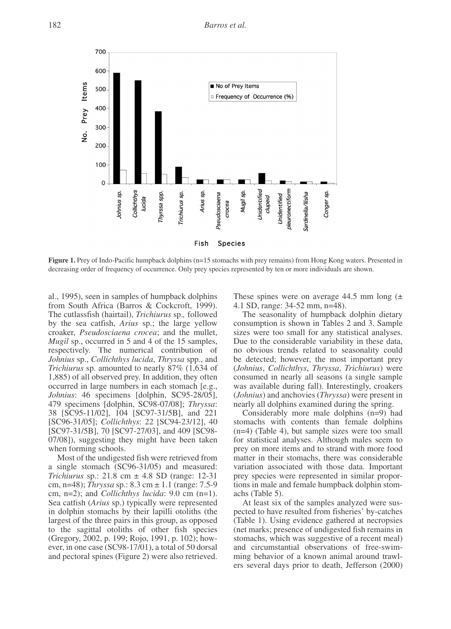Barros et al.



Figure 1. Prey of Indo-Pacific humpback dolphins (n=15 stomachs with prey remains) from Hong Kong waters. Presented in decreasing order of frequency of occurrence. Only prey species represented by ten or more individuals are shown.

al., 1995), seen in samples of humpback dolphins from South Africa (Barros & Cockcroft, 1999). The cutlassfish (hairtail), Trichiurus sp., followed by the sea catfish, *Arius* sp.; the large yellow croaker, *Pseudosciaena crocea*; and the mullet, *Mugil* sp., occurred in 5 and 4 of the 15 samples, respectively. The numerical contribution of Johnius sp., Collichthys lucida, Thryssa spp., and Trichiurus sp. amounted to nearly 87% (1,634 of 1,885) of all observed prey. In addition, they often occurred in large numbers in each stomach [e.g., Johnius: 46 specimens [dolphin, SC95-28/05], 479 specimens [dolphin, SC98-07/08]; Thryssa: 38 [SC95-11/02], 104 [SC97-31/5B], and 221 [SC96-31/05]; Collichthys: 22 [SC94-23/12], 40 [SC97-31/5B], 70 [SC97-27/03], and 409 [SC98-07/08]), suggesting they might have been taken when forming schools.

Most of the undigested fish were retrieved from a single stomach (SC96-31/05) and measured: *Trichiurus* sp.: 21.8 cm  $\pm$  4.8 SD (range: 12-31) cm, n=48); Thryssa sp.: 8.3 cm  $\pm$  1.1 (range: 7.5-9) cm,  $n=2$ ); and *Collichthys lucida*: 9.0 cm  $(n=1)$ . Sea catfish (Arius sp.) typically were represented in dolphin stomachs by their lapilli otoliths (the largest of the three pairs in this group, as opposed to the sagittal otoliths of other fish species (Gregory, 2002, p. 199; Rojo, 1991, p. 102); however, in one case (SC98-17/01), a total of 50 dorsal and pectoral spines (Figure 2) were also retrieved.

These spines were on average 44.5 mm long  $(\pm$ 4.1 SD, range: 34-52 mm, n=48).

The seasonality of humpback dolphin dietary consumption is shown in Tables 2 and 3. Sample sizes were too small for any statistical analyses. Due to the considerable variability in these data, no obvious trends related to seasonality could be detected; however, the most important prey (Johnius, Collichthys, Thryssa, Trichiurus) were consumed in nearly all seasons (a single sample was available during fall). Interestingly, croakers (*Johnius*) and anchovies (*Thryssa*) were present in nearly all dolphins examined during the spring.

Considerably more male dolphins  $(n=9)$  had stomachs with contents than female dolphins  $(n=4)$  (Table 4), but sample sizes were too small for statistical analyses. Although males seem to prey on more items and to strand with more food matter in their stomachs, there was considerable variation associated with those data. Important prey species were represented in similar proportions in male and female humpback dolphin stomachs (Table 5).

At least six of the samples analyzed were suspected to have resulted from fisheries' by-catches (Table 1). Using evidence gathered at necropsies (net marks; presence of undigested fish remains in stomachs, which was suggestive of a recent meal) and circumstantial observations of free-swimming behavior of a known animal around trawlers several days prior to death, Jefferson (2000)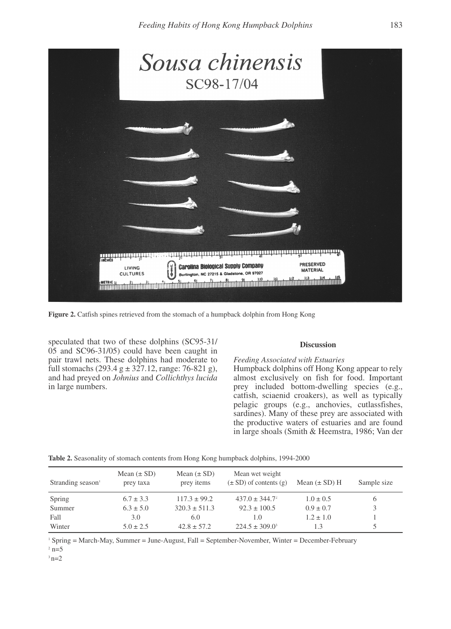

Figure 2. Catfish spines retrieved from the stomach of a humpback dolphin from Hong Kong

speculated that two of these dolphins (SC95-31/ 05 and SC96-31/05) could have been caught in pair trawl nets. These dolphins had moderate to full stomachs  $(293.4 \text{ g} \pm 327.12)$ , range: 76-821 g), and had preyed on Johnius and Collichthys lucida in large numbers.

# **Discussion**

Feeding Associated with Estuaries Humpback dolphins off Hong Kong appear to rely almost exclusively on fish for food. Important prey included bottom-dwelling species (e.g., catfish, sciaenid croakers), as well as typically pelagic groups (e.g., anchovies, cutlassfishes, sardines). Many of these prey are associated with the productive waters of estuaries and are found in large shoals (Smith & Heemstra, 1986; Van der

|  |  | Table 2. Seasonality of stomach contents from Hong Kong humpback dolphins, 1994-2000 |
|--|--|--------------------------------------------------------------------------------------|
|  |  |                                                                                      |

| Stranding season | Mean $(\pm SD)$<br>prey taxa | Mean $(\pm SD)$<br>prey items | Mean wet weight<br>$(\pm SD)$ of contents (g) | Mean $(\pm SD)$ H | Sample size |
|------------------|------------------------------|-------------------------------|-----------------------------------------------|-------------------|-------------|
| Spring           | $6.7 \pm 3.3$                | $117.3 \pm 99.2$              | $437.0 \pm 344.7^2$                           | $1.0 \pm 0.5$     |             |
| Summer           | $6.3 \pm 5.0$                | $320.3 \pm 511.3$             | $92.3 \pm 100.5$                              | $0.9 \pm 0.7$     |             |
| Fall             | 3.0                          | 6.0                           | 1.0                                           | $1.2 \pm 1.0$     |             |
| Winter           | $5.0 \pm 2.5$                | $42.8 \pm 57.2$               | $224.5 \pm 309.0^3$                           | 1.3               |             |

<sup>1</sup> Spring = March-May, Summer = June-August, Fall = September-November, Winter = December-February  $2 n=5$ 

 $3n=2$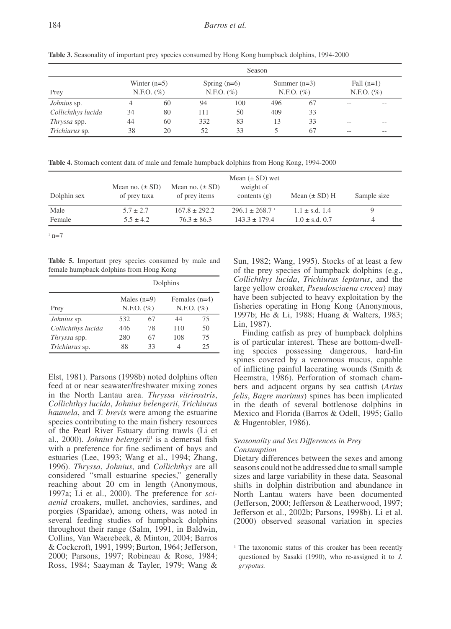Season Winter  $(n=5)$ Spring  $(n=6)$ Summer  $(n=3)$ Fall  $(n=1)$ Prey N.F.O.  $(\% )$  $N.F.O. (%)$  $N.F.O. (%)$  $N.F.O. (%)$  $\overline{J}$ *ohnius* sp.  $\Delta$ 60  $\overline{94}$  $100$ 496 67  $\overline{a}$ Collichthys lucida 34  $80$ 111 50  $409$  $33$ 

 $332$ 

52

Table 3. Seasonality of important prey species consumed by Hong Kong humpback dolphins, 1994-2000

Table 4. Stomach content data of male and female humpback dolphins from Hong Kong, 1994-2000

60

20

| Dolphin sex | Mean no. $(\pm SD)$<br>of prey taxa | Mean no. $(\pm SD)$<br>of prey items | Mean $(\pm SD)$ wet<br>weight of<br>contents $(g)$ | Mean $(\pm SD)$ H  | Sample size |
|-------------|-------------------------------------|--------------------------------------|----------------------------------------------------|--------------------|-------------|
| Male        | $5.7 \pm 2.7$                       | $167.8 \pm 292.2$                    | $296.1 \pm 268.7$                                  | $1.1 \pm s.d. 1.4$ |             |
| Female      | $5.5 \pm 4.2$                       | $76.3 \pm 86.3$                      | $143.3 \pm 179.4$                                  | $1.0 \pm$ s.d. 0.7 | 4           |

 $83$ 

33

 $n = 7$ 

Table 5. Important prey species consumed by male and female humpback dolphins from Hong Kong

44

38

|                     |                                 |    | Dolphins                        |    |  |
|---------------------|---------------------------------|----|---------------------------------|----|--|
| Prey                | Males $(n=9)$<br>N.F.O. $(\% )$ |    | Females $(n=4)$<br>$N.F.O.$ (%) |    |  |
| Johnius sp.         | 532                             | 67 | 44                              | 75 |  |
| Collichthys lucida  | 446                             | 78 | 110                             | 50 |  |
| <i>Thryssa</i> spp. | 280                             | 67 | 108                             | 75 |  |
| Trichiurus sp.      | 88                              | 33 | 4                               | 25 |  |

Elst, 1981). Parsons (1998b) noted dolphins often feed at or near seawater/freshwater mixing zones in the North Lantau area. Thryssa vitrirostris, Collichthys lucida, Johnius belengerii, Trichiurus *haumela*, and *T. brevis* were among the estuarine species contributing to the main fishery resources of the Pearl River Estuary during trawls (Li et al., 2000). Johnius belengerii<sup>1</sup> is a demersal fish with a preference for fine sediment of bays and estuaries (Lee, 1993; Wang et al., 1994; Zhang, 1996). Thryssa, Johnius, and Collichthys are all considered "small estuarine species," generally reaching about 20 cm in length (Anonymous, 1997a; Li et al., 2000). The preference for sci*denid* croakers, mullet, anchovies, sardines, and porgies (Sparidae), among others, was noted in several feeding studies of humpback dolphins throughout their range (Salm, 1991, in Baldwin, Collins, Van Waerebeek, & Minton, 2004; Barros & Cockcroft, 1991, 1999; Burton, 1964; Jefferson, 2000; Parsons, 1997; Robineau & Rose, 1984; Ross, 1984; Saayman & Tayler, 1979; Wang &

Sun, 1982; Wang, 1995). Stocks of at least a few of the prey species of humpback dolphins (e.g., Collichthys lucida, Trichiurus lepturus, and the large yellow croaker, Pseudosciaena crocea) may have been subjected to heavy exploitation by the fisheries operating in Hong Kong (Anonymous, 1997b; He & Li, 1988; Huang & Walters, 1983; Lin. 1987).

33

67

 $\mathbb{R}^2$ 

 $13$ 

5

Finding catfish as prey of humpback dolphins is of particular interest. These are bottom-dwelling species possessing dangerous, hard-fin spines covered by a venomous mucus, capable of inflicting painful lacerating wounds (Smith & Heemstra, 1986). Perforation of stomach chambers and adjacent organs by sea catfish (Arius felis, Bagre marinus) spines has been implicated in the death of several bottlenose dolphins in Mexico and Florida (Barros & Odell, 1995; Gallo & Hugentobler, 1986).

# Seasonality and Sex Differences in Prey Consumption

Dietary differences between the sexes and among seasons could not be addressed due to small sample sizes and large variability in these data. Seasonal shifts in dolphin distribution and abundance in North Lantau waters have been documented (Jefferson, 2000; Jefferson & Leatherwood, 1997; Jefferson et al., 2002b; Parsons, 1998b). Li et al. (2000) observed seasonal variation in species

Thryssa spp.

Trichiurus sp.

<sup>&</sup>lt;sup>1</sup> The taxonomic status of this croaker has been recently questioned by Sasaki (1990), who re-assigned it to J. grypotus.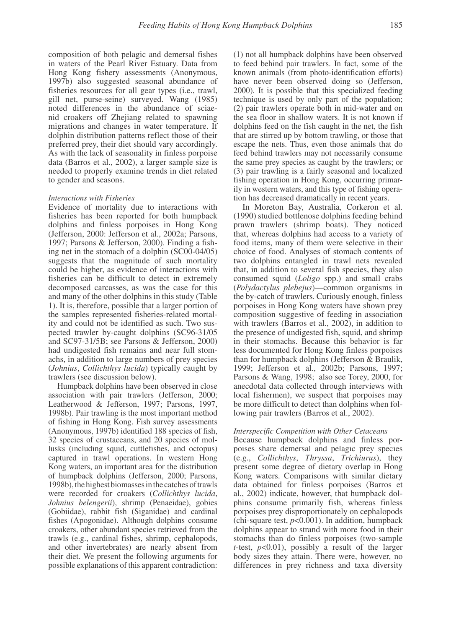composition of both pelagic and demersal fishes in waters of the Pearl River Estuary. Data from Hong Kong fishery assessments (Anonymous, 1997b) also suggested seasonal abundance of fisheries resources for all gear types (i.e., trawl, gill net, purse-seine) surveyed. Wang (1985) noted differences in the abundance of sciaenid croakers off Zhejiang related to spawning migrations and changes in water temperature. If dolphin distribution patterns reflect those of their preferred prey, their diet should vary accordingly. As with the lack of seasonality in finless porpoise data (Barros et al., 2002), a larger sample size is needed to properly examine trends in diet related to gender and seasons.

# Interactions with Fisheries

Evidence of mortality due to interactions with fisheries has been reported for both humpback dolphins and finless porpoises in Hong Kong (Jefferson, 2000: Jefferson et al., 2002a; Parsons, 1997; Parsons & Jefferson, 2000). Finding a fishing net in the stomach of a dolphin (SC00-04/05) suggests that the magnitude of such mortality could be higher, as evidence of interactions with fisheries can be difficult to detect in extremely decomposed carcasses, as was the case for this and many of the other dolphins in this study (Table 1). It is, therefore, possible that a larger portion of the samples represented fisheries-related mortality and could not be identified as such. Two suspected trawler by-caught dolphins (SC96-31/05 and SC97-31/5B; see Parsons & Jefferson, 2000) had undigested fish remains and near full stomachs, in addition to large numbers of prey species (Johnius, Collichthys lucida) typically caught by trawlers (see discussion below).

Humpback dolphins have been observed in close association with pair trawlers (Jefferson, 2000; Leatherwood & Jefferson, 1997; Parsons, 1997, 1998b). Pair trawling is the most important method of fishing in Hong Kong. Fish survey assessments (Anonymous, 1997b) identified 188 species of fish, 32 species of crustaceans, and 20 species of mollusks (including squid, cuttlefishes, and octopus) captured in trawl operations. In western Hong Kong waters, an important area for the distribution of humpback dolphins (Jefferson, 2000; Parsons, 1998b), the highest biomasses in the catches of trawls were recorded for croakers (Collichthys lucida, Johnius belengerii), shrimp (Penaeidae), gobies (Gobiidae), rabbit fish (Siganidae) and cardinal fishes (Apogonidae). Although dolphins consume croakers, other abundant species retrieved from the trawls (e.g., cardinal fishes, shrimp, cephalopods, and other invertebrates) are nearly absent from their diet. We present the following arguments for possible explanations of this apparent contradiction: (1) not all humpback dolphins have been observed to feed behind pair trawlers. In fact, some of the known animals (from photo-identification efforts) have never been observed doing so (Jefferson, 2000). It is possible that this specialized feeding technique is used by only part of the population; (2) pair trawlers operate both in mid-water and on the sea floor in shallow waters. It is not known if dolphins feed on the fish caught in the net, the fish that are stirred up by bottom trawling, or those that escape the nets. Thus, even those animals that do feed behind trawlers may not necessarily consume the same prey species as caught by the trawlers; or (3) pair trawling is a fairly seasonal and localized fishing operation in Hong Kong, occurring primarily in western waters, and this type of fishing operation has decreased dramatically in recent years.

In Moreton Bay, Australia, Corkeron et al. (1990) studied bottlenose dolphins feeding behind prawn trawlers (shrimp boats). They noticed that, whereas dolphins had access to a variety of food items, many of them were selective in their choice of food. Analyses of stomach contents of two dolphins entangled in trawl nets revealed that, in addition to several fish species, they also consumed squid (*Loligo* spp.) and small crabs (Polydactylus plebejus)—common organisms in the by-catch of trawlers. Curiously enough, finless porpoises in Hong Kong waters have shown prey composition suggestive of feeding in association with trawlers (Barros et al., 2002), in addition to the presence of undigested fish, squid, and shrimp in their stomachs. Because this behavior is far less documented for Hong Kong finless porpoises than for humpback dolphins (Jefferson  $\&$  Braulik, 1999; Jefferson et al., 2002b; Parsons, 1997; Parsons & Wang, 1998; also see Torey, 2000, for anecdotal data collected through interviews with local fishermen), we suspect that porpoises may be more difficult to detect than dolphins when following pair trawlers (Barros et al., 2002).

### Interspecific Competition with Other Cetaceans

Because humpback dolphins and finless porpoises share demersal and pelagic prey species (e.g., Collichthys, Thryssa, Trichiurus), they present some degree of dietary overlap in Hong Kong waters. Comparisons with similar dietary data obtained for finless porpoises (Barros et al., 2002) indicate, however, that humpback dolphins consume primarily fish, whereas finless porpoises prey disproportionately on cephalopods (chi-square test,  $p<0.001$ ). In addition, humpback dolphins appear to strand with more food in their stomachs than do finless porpoises (two-sample *t*-test,  $p<0.01$ ), possibly a result of the larger body sizes they attain. There were, however, no differences in prey richness and taxa diversity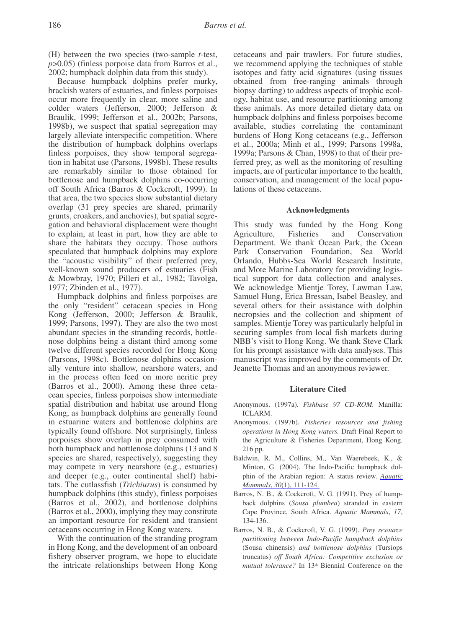$(H)$  between the two species (two-sample *t*-test,  $p>0.05$ ) (finless porpoise data from Barros et al., 2002; humpback dolphin data from this study).

Because humpback dolphins prefer murky, brackish waters of estuaries, and finless porpoises occur more frequently in clear, more saline and colder waters (Jefferson, 2000; Jefferson & Braulik, 1999; Jefferson et al., 2002b; Parsons, 1998b), we suspect that spatial segregation may largely alleviate interspecific competition. Where the distribution of humpback dolphins overlaps finless porpoises, they show temporal segregation in habitat use (Parsons, 1998b). These results are remarkably similar to those obtained for bottlenose and humpback dolphins co-occurring off South Africa (Barros & Cockcroft, 1999). In that area, the two species show substantial dietary overlap (31 prey species are shared, primarily grunts, croakers, and anchovies), but spatial segregation and behavioral displacement were thought to explain, at least in part, how they are able to share the habitats they occupy. Those authors speculated that humpback dolphins may explore the "acoustic visibility" of their preferred prey, well-known sound producers of estuaries (Fish & Mowbray, 1970; Pilleri et al., 1982; Tavolga, 1977; Zbinden et al., 1977).

Humpback dolphins and finless porpoises are the only "resident" cetacean species in Hong Kong (Jefferson, 2000; Jefferson & Braulik, 1999; Parsons, 1997). They are also the two most abundant species in the stranding records, bottlenose dolphins being a distant third among some twelve different species recorded for Hong Kong (Parsons, 1998c). Bottlenose dolphins occasionally venture into shallow, nearshore waters, and in the process often feed on more neritic prey (Barros et al., 2000). Among these three cetacean species, finless porpoises show intermediate spatial distribution and habitat use around Hong Kong, as humpback dolphins are generally found in estuarine waters and bottlenose dolphins are typically found offshore. Not surprisingly, finless porpoises show overlap in prey consumed with both humpback and bottlenose dolphins (13 and 8) species are shared, respectively), suggesting they may compete in very nearshore (e.g., estuaries) and deeper (e.g., outer continental shelf) habitats. The cutlassfish (Trichiurus) is consumed by humpback dolphins (this study), finless porpoises (Barros et al., 2002), and bottlenose dolphins (Barros et al., 2000), implying they may constitute an important resource for resident and transient cetaceans occurring in Hong Kong waters.

With the continuation of the stranding program in Hong Kong, and the development of an onboard fishery observer program, we hope to elucidate the intricate relationships between Hong Kong cetaceans and pair trawlers. For future studies, we recommend applying the techniques of stable isotopes and fatty acid signatures (using tissues obtained from free-ranging animals through biopsy darting) to address aspects of trophic ecology, habitat use, and resource partitioning among these animals. As more detailed dietary data on humpback dolphins and finless porpoises become available, studies correlating the contaminant burdens of Hong Kong cetaceans (e.g., Jefferson et al., 2000a; Minh et al., 1999; Parsons 1998a, 1999a: Parsons & Chan, 1998) to that of their preferred prey, as well as the monitoring of resulting impacts, are of particular importance to the health, conservation, and management of the local populations of these cetaceans.

## **Acknowledgments**

This study was funded by the Hong Kong Agriculture, Fisheries and Conservation Department. We thank Ocean Park, the Ocean Park Conservation Foundation, Sea World Orlando, Hubbs-Sea World Research Institute, and Mote Marine Laboratory for providing logistical support for data collection and analyses. We acknowledge Mientje Torey, Lawman Law, Samuel Hung, Erica Bressan, Isabel Beasley, and several others for their assistance with dolphin necropsies and the collection and shipment of samples. Mientie Torey was particularly helpful in securing samples from local fish markets during NBB's visit to Hong Kong. We thank Steve Clark for his prompt assistance with data analyses. This manuscript was improved by the comments of Dr. Jeanette Thomas and an anonymous reviewer.

## **Literature Cited**

- Anonymous. (1997a). Fishbase 97 CD-ROM. Manilla: **ICLARM.**
- Anonymous. (1997b). Fisheries resources and fishing operations in Hong Kong waters. Draft Final Report to the Agriculture & Fisheries Department, Hong Kong. 216 pp.
- Baldwin, R. M., Collins, M., Van Waerebeek, K., & Minton, G. (2004). The Indo-Pacific humpback dolphin of the Arabian region: A status review. Aquatic Mammals, 30(1), 111-124.
- Barros, N. B., & Cockcroft, V. G. (1991). Prey of humpback dolphins (Sousa plumbea) stranded in eastern Cape Province, South Africa. Aquatic Mammals, 17, 134-136.
- Barros, N. B., & Cockcroft, V. G. (1999). Prey resource partitioning between Indo-Pacific humpback dolphins (Sousa chinensis) and bottlenose dolphins (Tursiops truncatus) off South Africa: Competitive exclusion or mutual tolerance? In 13<sup>th</sup> Biennial Conference on the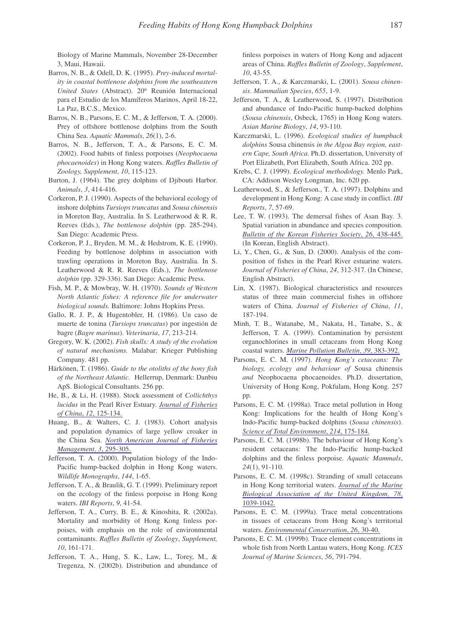Biology of Marine Mammals, November 28-December 3, Maui, Hawaii.

- Barros, N. B., & Odell, D. K. (1995). Prey-induced mortality in coastal bottlenose dolphins from the southeastern United States (Abstract). 20<sup>th</sup> Reunión Internacional para el Estudio de los Mamíferos Marinos, April 18-22, La Paz. B.C.S., Mexico.
- Barros, N. B., Parsons, E. C. M., & Jefferson, T. A. (2000). Prev of offshore bottlenose dolphins from the South China Sea. Aquatic Mammals, 26(1), 2-6.
- Barros, N. B., Jefferson, T. A., & Parsons, E. C. M. (2002). Food habits of finless porpoises (Neophocaena phocaenoides) in Hong Kong waters. Raffles Bulletin of Zoology, Supplement, 10, 115-123.
- Burton, J. (1964). The grey dolphins of Djibouti Harbor. Animals, 3, 414-416.
- Corkeron, P. J. (1990). Aspects of the behavioral ecology of inshore dolphins Tursiops truncatus and Sousa chinensis in Moreton Bay, Australia. In S. Leatherwood & R. R. Reeves (Eds.), The bottlenose dolphin (pp. 285-294). San Diego: Academic Press.
- Corkeron, P. J., Bryden, M. M., & Hedstrom, K. E. (1990). Feeding by bottlenose dolphins in association with trawling operations in Moreton Bay, Australia. In S. Leatherwood & R. R. Reeves (Eds.), The bottlenose dolphin (pp. 329-336). San Diego: Academic Press.
- Fish, M. P., & Mowbray, W. H. (1970). Sounds of Western North Atlantic fishes: A reference file for underwater biological sounds. Baltimore: Johns Hopkins Press.
- Gallo, R. J. P., & Hugentobler, H. (1986). Un caso de muerte de tonina (Tursiops truncatus) por ingestión de bagre (Bagre marinus). Veterinaria, 17, 213-214.
- Gregory, W. K. (2002). Fish skulls: A study of the evolution of natural mechanisms. Malabar: Krieger Publishing Company. 481 pp.
- Härkönen, T. (1986). Guide to the otoliths of the bony fish of the Northeast Atlantic. Hellerrup, Denmark: Danbiu ApS. Biological Consultants. 256 pp.
- He, B., & Li, H. (1988). Stock assessment of Collichthys lucidus in the Pearl River Estuary. Journal of Fisheries of China, 12, 125-134.
- Huang, B., & Walters, C. J. (1983). Cohort analysis and population dynamics of large yellow croaker in the China Sea. North American Journal of Fisheries Management, 3, 295-305.
- Jefferson, T. A. (2000). Population biology of the Indo-Pacific hump-backed dolphin in Hong Kong waters. Wildlife Monographs, 144, 1-65.
- Jefferson, T. A., & Braulik, G. T. (1999). Preliminary report on the ecology of the finless porpoise in Hong Kong waters. IBI Reports, 9, 41-54.
- Jefferson, T. A., Curry, B. E., & Kinoshita, R. (2002a). Mortality and morbidity of Hong Kong finless porpoises, with emphasis on the role of environmental contaminants. Raffles Bulletin of Zoology, Supplement, 10, 161-171.
- Jefferson, T. A., Hung, S. K., Law, L., Torey, M., & Tregenza, N. (2002b). Distribution and abundance of

finless porpoises in waters of Hong Kong and adjacent areas of China. Raffles Bulletin of Zoology, Supplement,  $10.43 - 55$ 

- Jefferson, T. A., & Karczmarski, L. (2001). Sousa chinensis. Mammalian Species, 655, 1-9.
- Jefferson, T. A., & Leatherwood, S. (1997). Distribution and abundance of Indo-Pacific hump-backed dolphins (Sousa chinensis, Osbeck, 1765) in Hong Kong waters. Asian Marine Biology, 14, 93-110.
- Karczmarski, L. (1996). Ecological studies of humpback dolphins Sousa chinensis in the Algoa Bay region, eastern Cape, South Africa, Ph.D. dissertation, University of Port Elizabeth, Port Elizabeth, South Africa. 202 pp.
- Krebs, C. J. (1999). Ecological methodology. Menlo Park, CA: Addison Wesley Longman, Inc. 620 pp.
- Leatherwood, S., & Jefferson., T. A. (1997). Dolphins and development in Hong Kong: A case study in conflict. IBI Reports, 7, 57-69.
- Lee, T. W. (1993). The demersal fishes of Asan Bay. 3. Spatial variation in abundance and species composition. Bulletin of the Korean Fisheries Society, 26, 438-445. (In Korean, English Abstract).
- Li, Y., Chen, G., & Sun, D. (2000). Analysis of the composition of fishes in the Pearl River estuarine waters. Journal of Fisheries of China, 24, 312-317. (In Chinese, English Abstract).
- Lin, X. (1987). Biological characteristics and resources status of three main commercial fishes in offshore waters of China. Journal of Fisheries of China, 11, 187-194.
- Minh, T. B., Watanabe, M., Nakata, H., Tanabe, S., & Jefferson, T. A. (1999). Contamination by persistent organochlorines in small cetaceans from Hong Kong coastal waters. Marine Pollution Bulletin, 39, 383-392.
- Parsons, E. C. M. (1997). Hong Kong's cetaceans: The biology, ecology and behaviour of Sousa chinensis and Neophocaena phocaenoides. Ph.D. dissertation, University of Hong Kong, Pokfulam, Hong Kong. 257 pp.
- Parsons, E. C. M. (1998a). Trace metal pollution in Hong Kong: Implications for the health of Hong Kong's Indo-Pacific hump-backed dolphins (Sousa chinensis). Science of Total Environment, 214, 175-184.
- Parsons, E. C. M. (1998b). The behaviour of Hong Kong's resident cetaceans: The Indo-Pacific hump-backed dolphins and the finless porpoise. Aquatic Mammals,  $24(1), 91-110.$
- Parsons, E. C. M. (1998c). Stranding of small cetaceans in Hong Kong territorial waters. Journal of the Marine Biological Association of the United Kingdom, 78, 1039-1042.
- Parsons, E. C. M. (1999a). Trace metal concentrations in tissues of cetaceans from Hong Kong's territorial waters. Environmental Conservation, 26, 30-40.
- Parsons, E. C. M. (1999b). Trace element concentrations in whole fish from North Lantau waters, Hong Kong. ICES Journal of Marine Sciences, 56, 791-794.